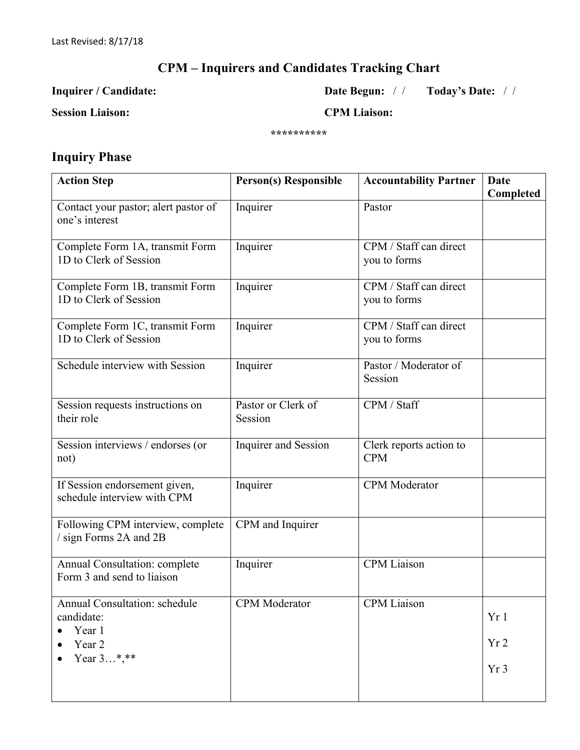## **CPM – Inquirers and Candidates Tracking Chart**

#### **Inquirer / Candidate: Date Begun:** / / **Today's Date:** / /

**Session Liaison: CPM Liaison:** 

**\*\*\*\*\*\*\*\*\*\***

### **Inquiry Phase**

| <b>Action Step</b>                                           | <b>Person(s) Responsible</b>  | <b>Accountability Partner</b>          | Date<br>Completed |
|--------------------------------------------------------------|-------------------------------|----------------------------------------|-------------------|
| Contact your pastor; alert pastor of<br>one's interest       | Inquirer                      | Pastor                                 |                   |
| Complete Form 1A, transmit Form<br>1D to Clerk of Session    | Inquirer                      | CPM / Staff can direct<br>you to forms |                   |
| Complete Form 1B, transmit Form<br>1D to Clerk of Session    | Inquirer                      | CPM / Staff can direct<br>you to forms |                   |
| Complete Form 1C, transmit Form<br>1D to Clerk of Session    | Inquirer                      | CPM / Staff can direct<br>you to forms |                   |
| Schedule interview with Session                              | Inquirer                      | Pastor / Moderator of<br>Session       |                   |
| Session requests instructions on<br>their role               | Pastor or Clerk of<br>Session | CPM / Staff                            |                   |
| Session interviews / endorses (or<br>not)                    | Inquirer and Session          | Clerk reports action to<br><b>CPM</b>  |                   |
| If Session endorsement given,<br>schedule interview with CPM | Inquirer                      | <b>CPM</b> Moderator                   |                   |
| Following CPM interview, complete<br>/ sign Forms 2A and 2B  | CPM and Inquirer              |                                        |                   |
| Annual Consultation: complete<br>Form 3 and send to liaison  | Inquirer                      | <b>CPM</b> Liaison                     |                   |
| Annual Consultation: schedule<br>candidate:<br>Year 1        | CPM Moderator                 | CPM Liaison                            | Yr1               |
| Year 2<br>Year 3*,**                                         |                               |                                        | Yr <sub>2</sub>   |
|                                                              |                               |                                        | Yr <sub>3</sub>   |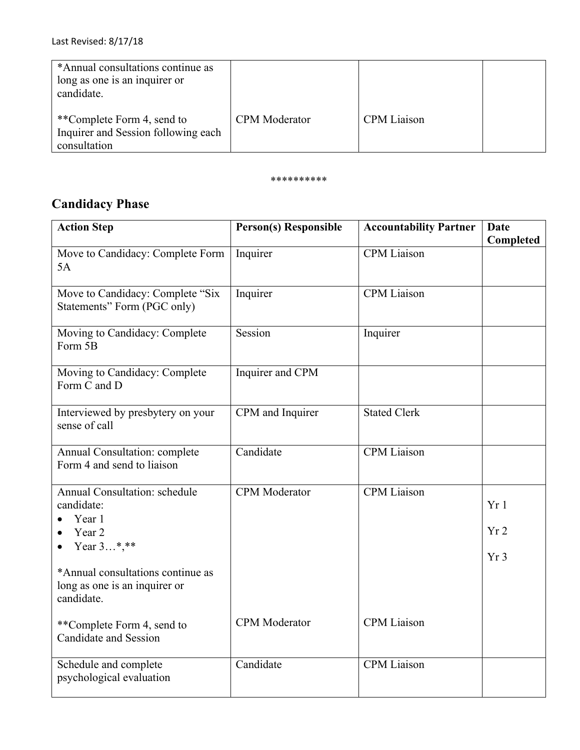| *Annual consultations continue as<br>long as one is an inquirer or<br>candidate.  |                      |                    |  |
|-----------------------------------------------------------------------------------|----------------------|--------------------|--|
| **Complete Form 4, send to<br>Inquirer and Session following each<br>consultation | <b>CPM</b> Moderator | <b>CPM</b> Liaison |  |

#### \*\*\*\*\*\*\*\*\*\*

# **Candidacy Phase**

| <b>Action Step</b>                                                               | <b>Person(s) Responsible</b> | <b>Accountability Partner</b> | <b>Date</b><br>Completed |
|----------------------------------------------------------------------------------|------------------------------|-------------------------------|--------------------------|
| Move to Candidacy: Complete Form<br>5A                                           | Inquirer                     | CPM Liaison                   |                          |
| Move to Candidacy: Complete "Six<br>Statements" Form (PGC only)                  | Inquirer                     | <b>CPM</b> Liaison            |                          |
| Moving to Candidacy: Complete<br>Form 5B                                         | Session                      | Inquirer                      |                          |
| Moving to Candidacy: Complete<br>Form C and D                                    | Inquirer and CPM             |                               |                          |
| Interviewed by presbytery on your<br>sense of call                               | CPM and Inquirer             | <b>Stated Clerk</b>           |                          |
| Annual Consultation: complete<br>Form 4 and send to liaison                      | Candidate                    | <b>CPM</b> Liaison            |                          |
| Annual Consultation: schedule<br>candidate:<br>Year 1                            | <b>CPM</b> Moderator         | <b>CPM</b> Liaison            | Yr1                      |
| Year 2                                                                           |                              |                               | Yr2                      |
| Year 3*,**                                                                       |                              |                               | Yr <sub>3</sub>          |
| *Annual consultations continue as<br>long as one is an inquirer or<br>candidate. |                              |                               |                          |
| **Complete Form 4, send to<br>Candidate and Session                              | <b>CPM</b> Moderator         | <b>CPM</b> Liaison            |                          |
| Schedule and complete<br>psychological evaluation                                | Candidate                    | <b>CPM</b> Liaison            |                          |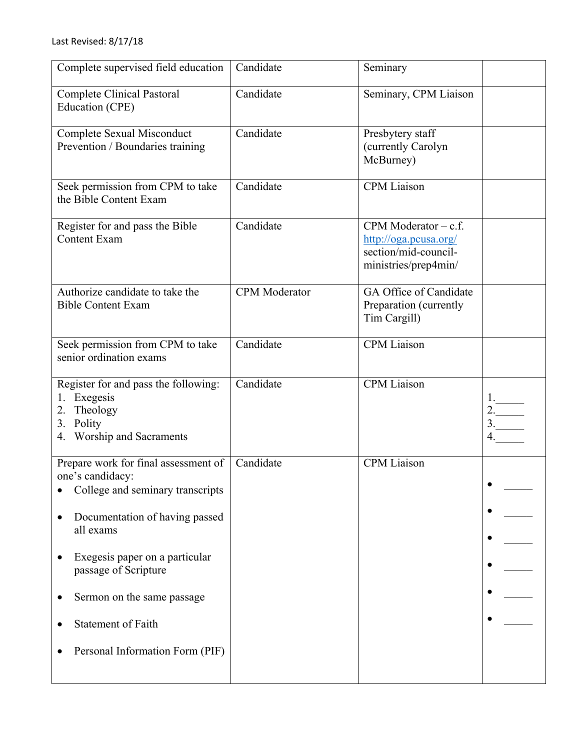| Complete supervised field education                                                                                                                                                                                                                                                                 | Candidate            | Seminary                                                                                        |                |
|-----------------------------------------------------------------------------------------------------------------------------------------------------------------------------------------------------------------------------------------------------------------------------------------------------|----------------------|-------------------------------------------------------------------------------------------------|----------------|
| <b>Complete Clinical Pastoral</b><br>Education (CPE)                                                                                                                                                                                                                                                | Candidate            | Seminary, CPM Liaison                                                                           |                |
| Complete Sexual Misconduct<br>Prevention / Boundaries training                                                                                                                                                                                                                                      | Candidate            | Presbytery staff<br>(currently Carolyn<br>McBurney)                                             |                |
| Seek permission from CPM to take<br>the Bible Content Exam                                                                                                                                                                                                                                          | Candidate            | <b>CPM</b> Liaison                                                                              |                |
| Register for and pass the Bible<br><b>Content Exam</b>                                                                                                                                                                                                                                              | Candidate            | CPM Moderator $-$ c.f.<br>http://oga.pcusa.org/<br>section/mid-council-<br>ministries/prep4min/ |                |
| Authorize candidate to take the<br><b>Bible Content Exam</b>                                                                                                                                                                                                                                        | <b>CPM</b> Moderator | GA Office of Candidate<br>Preparation (currently<br>Tim Cargill)                                |                |
| Seek permission from CPM to take<br>senior ordination exams                                                                                                                                                                                                                                         | Candidate            | CPM Liaison                                                                                     |                |
| Register for and pass the following:<br>1. Exegesis<br>2. Theology<br>3. Polity<br>4. Worship and Sacraments                                                                                                                                                                                        | Candidate            | <b>CPM</b> Liaison                                                                              | 1.<br>2.<br>3. |
| Prepare work for final assessment of<br>one's candidacy:<br>College and seminary transcripts<br>Documentation of having passed<br>all exams<br>Exegesis paper on a particular<br>passage of Scripture<br>Sermon on the same passage<br><b>Statement of Faith</b><br>Personal Information Form (PIF) | Candidate            | <b>CPM</b> Liaison                                                                              |                |